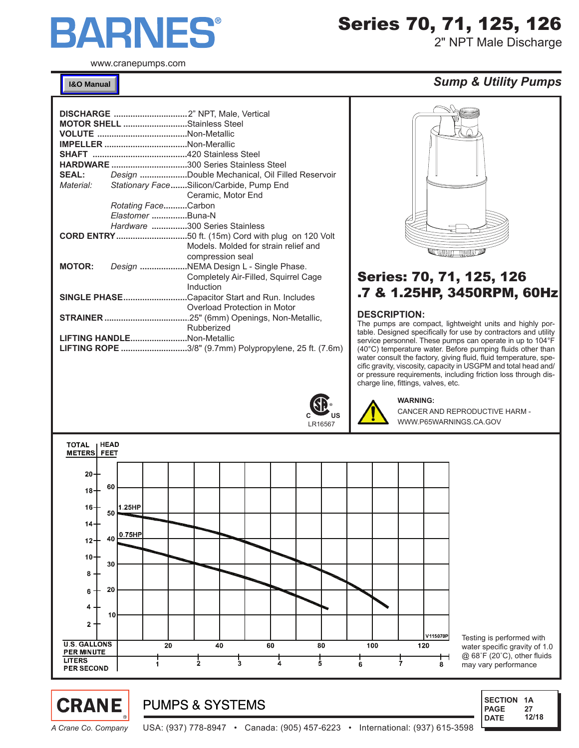

www.cranepumps.com

**[I&O Manual](http://www.cranepumps.com/downloadables/CATALOGS_OIPMs/Manuals%20&%20Instruction%20sheets/115150.PDF)**

| <b>MOTOR SHELL Stainless Steel</b>  |                     |                                                               |
|-------------------------------------|---------------------|---------------------------------------------------------------|
|                                     |                     |                                                               |
| <b>IMPELLER</b> Non-Merallic        |                     |                                                               |
|                                     |                     |                                                               |
| HARDWARE 300 Series Stainless Steel |                     |                                                               |
|                                     |                     | <b>SEAL:</b> Design Double Mechanical, Oil Filled Reservoir   |
|                                     |                     | Material: Stationary FaceSilicon/Carbide, Pump End            |
|                                     |                     | Ceramic, Motor End                                            |
|                                     | Rotating FaceCarbon |                                                               |
|                                     | Elastomer Buna-N    |                                                               |
|                                     |                     | Hardware 300 Series Stainless                                 |
|                                     |                     |                                                               |
|                                     |                     | Models. Molded for strain relief and                          |
|                                     |                     | compression seal                                              |
| <b>MOTOR:</b>                       |                     | Design NEMA Design L - Single Phase.                          |
|                                     |                     | Completely Air-Filled, Squirrel Cage                          |
|                                     |                     | Induction                                                     |
|                                     |                     | <b>SINGLE PHASECapacitor Start and Run. Includes</b>          |
|                                     |                     | Overload Protection in Motor                                  |
|                                     |                     |                                                               |
|                                     |                     | Rubberized                                                    |
| LIFTING HANDLENon-Metallic          |                     |                                                               |
|                                     |                     | <b>LIFTING ROPE</b> 3/8" (9.7mm) Polypropylene, 25 ft. (7.6m) |



Series 70, 71, 125, 126

2" NPT Male Discharge

### *Sump & Utility Pumps*



## Series: 70, 71, 125, 126 .7 & 1.25HP, 3450RPM, 60Hz

### **DESCRIPTION:**

The pumps are compact, lightweight units and highly portable. Designed specifically for use by contractors and utility service personnel. These pumps can operate in up to 104°F (40°C) temperature water. Before pumping fluids other than water consult the factory, giving fluid, fluid temperature, specific gravity, viscosity, capacity in USGPM and total head and/ or pressure requirements, including friction loss through discharge line, fittings, valves, etc.

**WARNING:** 

CANCER AND REPRODUCTIVE HARM - WWW.P65WARNINGS.CA.GOV



**PUMPS & SYSTEMS** 

Testing is performed with water specific gravity of 1.0 @ 68˚F (20˚C), other fluids may vary performance



**CRANE** 

*A Crane Co. Company* USA: (937) 778-8947 • Canada: (905) 457-6223 • International: (937) 615-3598